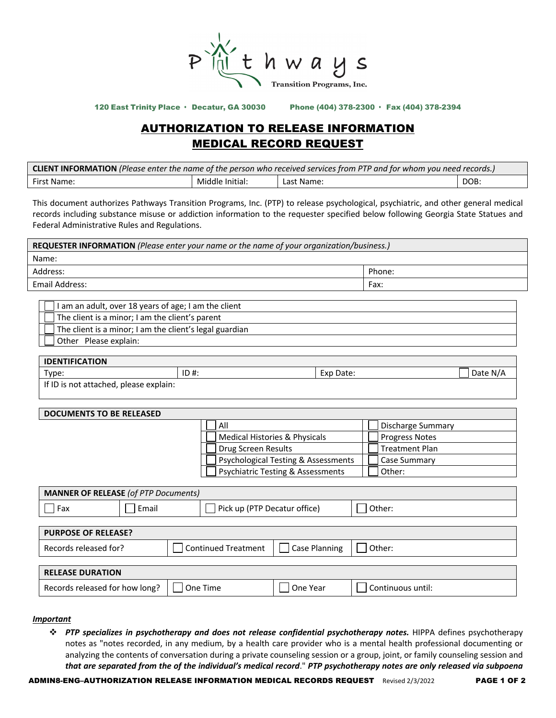

120 East Trinity Place · Decatur, GA 30030 Phone (404) 378-2300 · Fax (404) 378-2394

# AUTHORIZATION TO RELEASE INFORMATION MEDICAL RECORD REQUEST

| <b>CLIENT INFORMATION</b> (Please enter the name of the person who received services from PTP and for whom you need records.) |                 |            |      |  |  |
|-------------------------------------------------------------------------------------------------------------------------------|-----------------|------------|------|--|--|
| First Name:                                                                                                                   | Middle Initial: | Last Name: | DOB: |  |  |

This document authorizes Pathways Transition Programs, Inc. (PTP) to release psychological, psychiatric, and other general medical records including substance misuse or addiction information to the requester specified below following Georgia State Statues and Federal Administrative Rules and Regulations.

| <b>REQUESTER INFORMATION</b> (Please enter your name or the name of your organization/business.) |        |  |  |
|--------------------------------------------------------------------------------------------------|--------|--|--|
| Name:                                                                                            |        |  |  |
| Address:                                                                                         | Phone: |  |  |
| Email Address:                                                                                   | Fax:   |  |  |
|                                                                                                  |        |  |  |

| I am an adult, over 18 years of age; I am the client    |
|---------------------------------------------------------|
| The client is a minor; I am the client's parent         |
| The client is a minor; I am the client's legal guardian |
| Other Please explain:                                   |

| <b>IDENTIFICATION</b>                                 |         |                     |                    |  |
|-------------------------------------------------------|---------|---------------------|--------------------|--|
| Type:                                                 | $ID#$ : | Date:<br>Lyr<br>EXU | nato.<br>N<br>Dale |  |
| lingues to a carbonato classification of conclusions. |         |                     |                    |  |

If ID is not attached, please explain:

# **DOCUMENTS TO BE RELEASED**

| All                                          | Discharge Summary     |
|----------------------------------------------|-----------------------|
| Medical Histories & Physicals                | <b>Progress Notes</b> |
| Drug Screen Results                          | <b>Treatment Plan</b> |
| Psychological Testing & Assessments          | <b>Case Summary</b>   |
| <b>Psychiatric Testing &amp; Assessments</b> | Other:                |

| <b>MANNER OF RELEASE (of PTP Documents)</b> |                              |  |                     |        |  |
|---------------------------------------------|------------------------------|--|---------------------|--------|--|
| Email                                       | Pick up (PTP Decatur office) |  |                     | Other: |  |
|                                             |                              |  |                     |        |  |
| <b>PURPOSE OF RELEASE?</b>                  |                              |  |                     |        |  |
|                                             |                              |  | Case Planning       | Other: |  |
|                                             |                              |  |                     |        |  |
|                                             |                              |  |                     |        |  |
|                                             |                              |  | Continued Treatment |        |  |

#### *Important*

v *PTP specializes in psychotherapy and does not release confidential psychotherapy notes.* HIPPA defines psychotherapy notes as "notes recorded, in any medium, by a health care provider who is a mental health professional documenting or analyzing the contents of conversation during a private counseling session or a group, joint, or family counseling session and *that are separated from the of the individual's medical record*." *PTP psychotherapy notes are only released via subpoena* 

Records released for how long?  $\Box$  One Time  $\Box$  One Year  $\Box$  Continuous until: